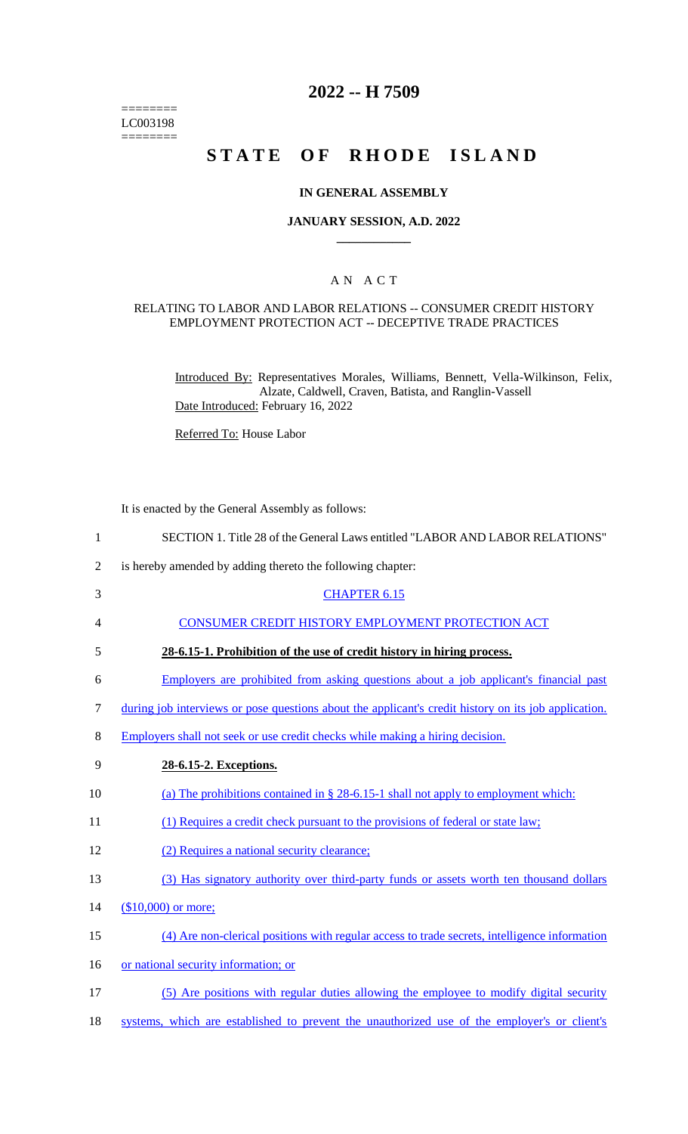======== LC003198  $=$ 

# **2022 -- H 7509**

# **STATE OF RHODE ISLAND**

### **IN GENERAL ASSEMBLY**

### **JANUARY SESSION, A.D. 2022 \_\_\_\_\_\_\_\_\_\_\_\_**

### A N A C T

#### RELATING TO LABOR AND LABOR RELATIONS -- CONSUMER CREDIT HISTORY EMPLOYMENT PROTECTION ACT -- DECEPTIVE TRADE PRACTICES

Introduced By: Representatives Morales, Williams, Bennett, Vella-Wilkinson, Felix, Alzate, Caldwell, Craven, Batista, and Ranglin-Vassell Date Introduced: February 16, 2022

Referred To: House Labor

It is enacted by the General Assembly as follows:

| $\mathbf{1}$   | SECTION 1. Title 28 of the General Laws entitled "LABOR AND LABOR RELATIONS"                         |
|----------------|------------------------------------------------------------------------------------------------------|
| $\overline{2}$ | is hereby amended by adding thereto the following chapter:                                           |
| 3              | <b>CHAPTER 6.15</b>                                                                                  |
| 4              | CONSUMER CREDIT HISTORY EMPLOYMENT PROTECTION ACT                                                    |
| 5              | 28-6.15-1. Prohibition of the use of credit history in hiring process.                               |
| 6              | Employers are prohibited from asking questions about a job applicant's financial past                |
| 7              | during job interviews or pose questions about the applicant's credit history on its job application. |
| 8              | Employers shall not seek or use credit checks while making a hiring decision.                        |
| 9              | 28-6.15-2. Exceptions.                                                                               |
| 10             | (a) The prohibitions contained in $\S$ 28-6.15-1 shall not apply to employment which:                |
| 11             | (1) Requires a credit check pursuant to the provisions of federal or state law;                      |
| 12             | (2) Requires a national security clearance;                                                          |
| 13             | (3) Has signatory authority over third-party funds or assets worth ten thousand dollars              |
| 14             | $($10,000)$ or more;                                                                                 |
| 15             | (4) Are non-clerical positions with regular access to trade secrets, intelligence information        |
| 16             | or national security information; or                                                                 |
| 17             | (5) Are positions with regular duties allowing the employee to modify digital security               |
| 18             | systems, which are established to prevent the unauthorized use of the employer's or client's         |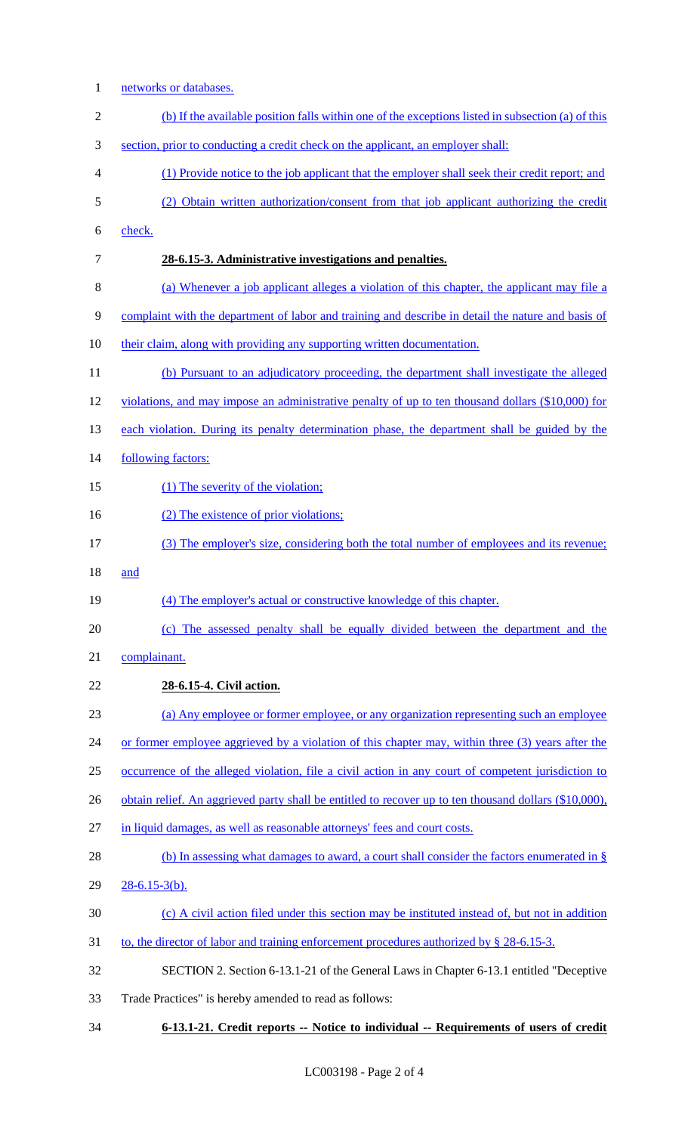- 1 networks or databases. (b) If the available position falls within one of the exceptions listed in subsection (a) of this section, prior to conducting a credit check on the applicant, an employer shall: (1) Provide notice to the job applicant that the employer shall seek their credit report; and (2) Obtain written authorization/consent from that job applicant authorizing the credit check. **28-6.15-3. Administrative investigations and penalties.**  (a) Whenever a job applicant alleges a violation of this chapter, the applicant may file a complaint with the department of labor and training and describe in detail the nature and basis of 10 their claim, along with providing any supporting written documentation. (b) Pursuant to an adjudicatory proceeding, the department shall investigate the alleged violations, and may impose an administrative penalty of up to ten thousand dollars (\$10,000) for 13 each violation. During its penalty determination phase, the department shall be guided by the 14 following factors: 15 (1) The severity of the violation; 16 (2) The existence of prior violations; (3) The employer's size, considering both the total number of employees and its revenue; and (4) The employer's actual or constructive knowledge of this chapter. (c) The assessed penalty shall be equally divided between the department and the complainant. **28-6.15-4. Civil action.**  (a) Any employee or former employee, or any organization representing such an employee 24 or former employee aggrieved by a violation of this chapter may, within three (3) years after the occurrence of the alleged violation, file a civil action in any court of competent jurisdiction to 26 obtain relief. An aggrieved party shall be entitled to recover up to ten thousand dollars (\$10,000), in liquid damages, as well as reasonable attorneys' fees and court costs. 28 (b) In assessing what damages to award, a court shall consider the factors enumerated in § 28-6.15-3(b). (c) A civil action filed under this section may be instituted instead of, but not in addition 31 to, the director of labor and training enforcement procedures authorized by § 28-6.15-3. SECTION 2. Section 6-13.1-21 of the General Laws in Chapter 6-13.1 entitled "Deceptive Trade Practices" is hereby amended to read as follows:
- **6-13.1-21. Credit reports -- Notice to individual -- Requirements of users of credit**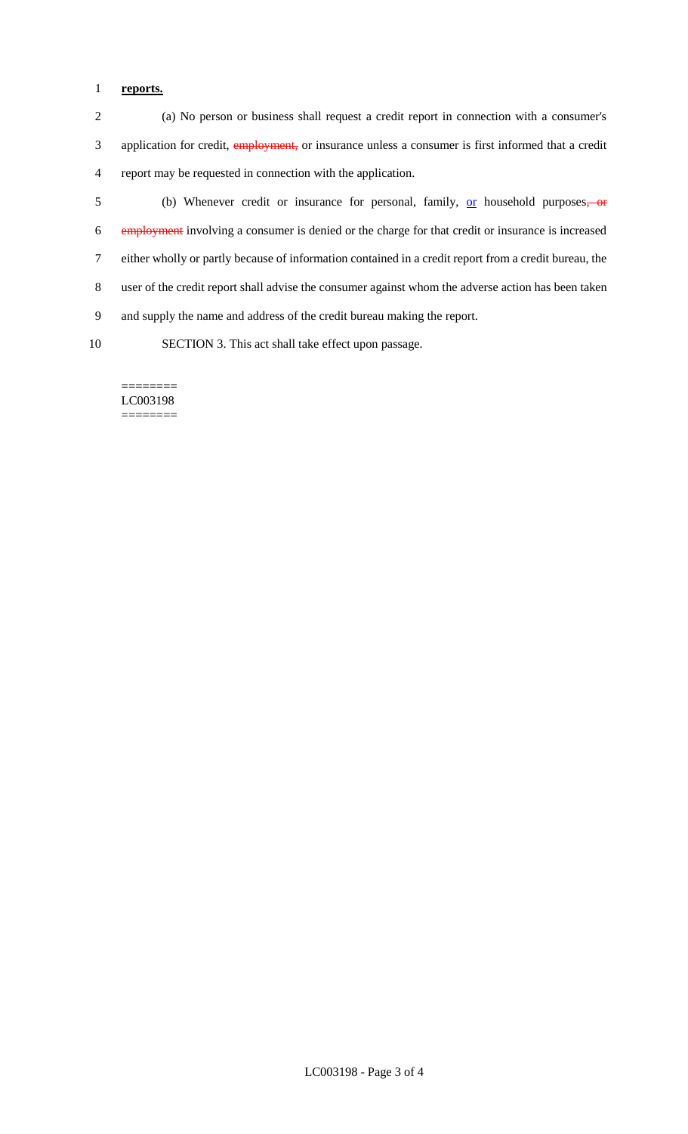# 1 **reports.**

2 (a) No person or business shall request a credit report in connection with a consumer's 3 application for credit, employment, or insurance unless a consumer is first informed that a credit 4 report may be requested in connection with the application.

5 (b) Whenever credit or insurance for personal, family, <u>or</u> household purposes, or employment involving a consumer is denied or the charge for that credit or insurance is increased either wholly or partly because of information contained in a credit report from a credit bureau, the user of the credit report shall advise the consumer against whom the adverse action has been taken and supply the name and address of the credit bureau making the report.

10 SECTION 3. This act shall take effect upon passage.

======== LC003198 ========